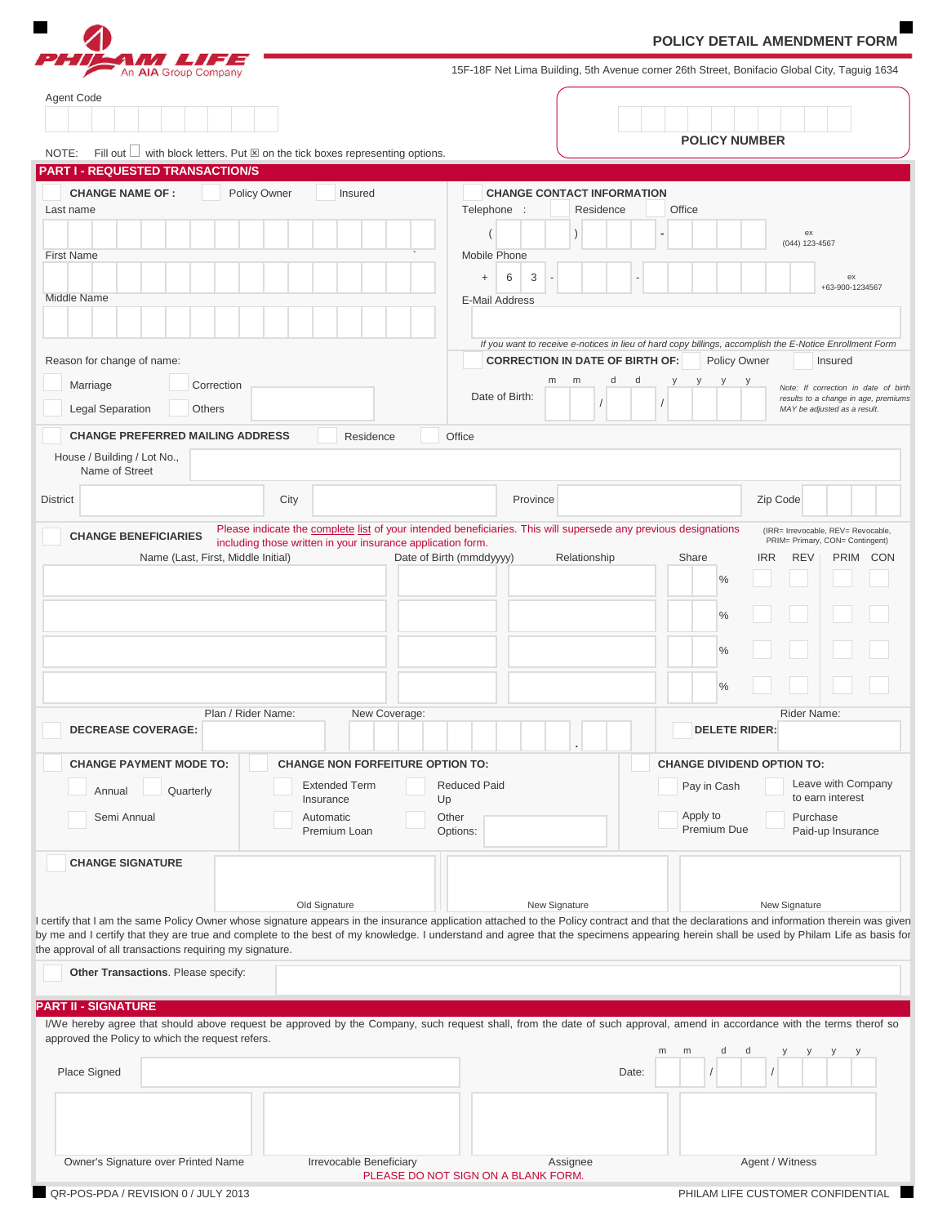|                                                                                                                                             |                                                                                                   |                                                                                        | POLICY DETAIL AMENDMENT FORM                                                                                                                                                                                                                                                                                                                                                                         |
|---------------------------------------------------------------------------------------------------------------------------------------------|---------------------------------------------------------------------------------------------------|----------------------------------------------------------------------------------------|------------------------------------------------------------------------------------------------------------------------------------------------------------------------------------------------------------------------------------------------------------------------------------------------------------------------------------------------------------------------------------------------------|
| An AIA Group Company                                                                                                                        |                                                                                                   |                                                                                        | 15F-18F Net Lima Building, 5th Avenue corner 26th Street, Bonifacio Global City, Taguig 1634                                                                                                                                                                                                                                                                                                         |
| Agent Code                                                                                                                                  |                                                                                                   |                                                                                        | <b>POLICY NUMBER</b>                                                                                                                                                                                                                                                                                                                                                                                 |
|                                                                                                                                             | NOTE: Fill out $\Box$ with block letters. Put $\boxtimes$ on the tick boxes representing options. |                                                                                        |                                                                                                                                                                                                                                                                                                                                                                                                      |
| <b>PART I - REQUESTED TRANSACTION/S</b>                                                                                                     |                                                                                                   | <b>CHANGE CONTACT INFORMATION</b>                                                      |                                                                                                                                                                                                                                                                                                                                                                                                      |
| <b>CHANGE NAME OF:</b><br>Last name<br><b>First Name</b><br>Middle Name                                                                     | Policy Owner<br>Insured                                                                           | Telephone :<br>Residence<br>Mobile Phone<br>3<br>6<br>$\ddot{}$<br>E-Mail Address      | Office<br>ex<br>(044) 123-4567<br>ex<br>+63-900-1234567                                                                                                                                                                                                                                                                                                                                              |
|                                                                                                                                             |                                                                                                   |                                                                                        |                                                                                                                                                                                                                                                                                                                                                                                                      |
| Reason for change of name:<br>Marriage<br>Correction<br><b>Legal Separation</b><br><b>Others</b><br><b>CHANGE PREFERRED MAILING ADDRESS</b> | Residence                                                                                         | <b>CORRECTION IN DATE OF BIRTH OF:</b><br>d<br>m<br>m<br>d<br>Date of Birth:<br>Office | If you want to receive e-notices in lieu of hard copy billings, accomplish the E-Notice Enrollment Form<br>Policy Owner<br>Insured<br>y<br>Note: If correction in date of birth<br>results to a change in age, premiums<br>MAY be adjusted as a result.                                                                                                                                              |
| House / Building / Lot No.,<br>Name of Street                                                                                               |                                                                                                   |                                                                                        |                                                                                                                                                                                                                                                                                                                                                                                                      |
| <b>District</b>                                                                                                                             | City                                                                                              | Province                                                                               | Zip Code                                                                                                                                                                                                                                                                                                                                                                                             |
|                                                                                                                                             | Plan / Rider Name:<br>New Coverage:                                                               |                                                                                        | $\frac{0}{0}$<br>$\frac{0}{0}$<br>$\frac{0}{0}$<br>Rider Name:                                                                                                                                                                                                                                                                                                                                       |
| <b>DECREASE COVERAGE:</b>                                                                                                                   |                                                                                                   |                                                                                        | <b>DELETE RIDER:</b>                                                                                                                                                                                                                                                                                                                                                                                 |
| <b>CHANGE PAYMENT MODE TO:</b>                                                                                                              | <b>CHANGE NON FORFEITURE OPTION TO:</b>                                                           |                                                                                        | <b>CHANGE DIVIDEND OPTION TO:</b>                                                                                                                                                                                                                                                                                                                                                                    |
| Quarterly<br>Annual<br>Semi Annual                                                                                                          | <b>Extended Term</b><br>Insurance<br>Automatic<br>Premium Loan                                    | <b>Reduced Paid</b><br>Up<br>Other<br>Options:                                         | Leave with Company<br>Pay in Cash<br>to earn interest<br>Apply to<br>Purchase<br>Premium Due<br>Paid-up Insurance                                                                                                                                                                                                                                                                                    |
| <b>CHANGE SIGNATURE</b>                                                                                                                     |                                                                                                   |                                                                                        |                                                                                                                                                                                                                                                                                                                                                                                                      |
| the approval of all transactions requiring my signature.                                                                                    | Old Signature                                                                                     | New Signature                                                                          | New Signature<br>I certify that I am the same Policy Owner whose signature appears in the insurance application attached to the Policy contract and that the declarations and information therein was given<br>by me and I certify that they are true and complete to the best of my knowledge. I understand and agree that the specimens appearing herein shall be used by Philam Life as basis for |
| Other Transactions. Please specify:                                                                                                         |                                                                                                   |                                                                                        |                                                                                                                                                                                                                                                                                                                                                                                                      |
| <b>PART II - SIGNATURE</b>                                                                                                                  |                                                                                                   |                                                                                        |                                                                                                                                                                                                                                                                                                                                                                                                      |
| approved the Policy to which the request refers.<br>Place Signed                                                                            |                                                                                                   | Date:                                                                                  | I/We hereby agree that should above request be approved by the Company, such request shall, from the date of such approval, amend in accordance with the terms therof so<br>m<br>m<br>d<br>d                                                                                                                                                                                                         |
|                                                                                                                                             |                                                                                                   |                                                                                        |                                                                                                                                                                                                                                                                                                                                                                                                      |
| Owner's Signature over Printed Name                                                                                                         | Irrevocable Beneficiary                                                                           | Assignee<br>PLEASE DO NOT SIGN ON A BLANK FORM.                                        | Agent / Witness                                                                                                                                                                                                                                                                                                                                                                                      |
| QR-POS-PDA / REVISION 0 / JULY 2013                                                                                                         |                                                                                                   |                                                                                        | PHILAM LIFE CUSTOMER CONFIDENTIAL                                                                                                                                                                                                                                                                                                                                                                    |